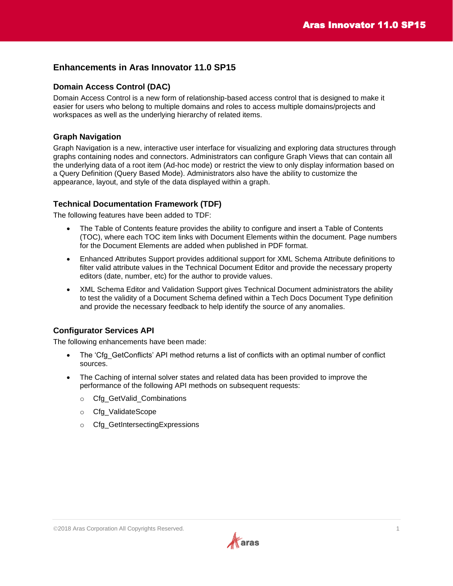i<br>L

# **Enhancements in Aras Innovator 11.0 SP15**

### **Domain Access Control (DAC)**

Domain Access Control is a new form of relationship-based access control that is designed to make it easier for users who belong to multiple domains and roles to access multiple domains/projects and workspaces as well as the underlying hierarchy of related items.

## **Graph Navigation**

Graph Navigation is a new, interactive user interface for visualizing and exploring data structures through graphs containing nodes and connectors. Administrators can configure Graph Views that can contain all the underlying data of a root item (Ad-hoc mode) or restrict the view to only display information based on a Query Definition (Query Based Mode). Administrators also have the ability to customize the appearance, layout, and style of the data displayed within a graph.

## **Technical Documentation Framework (TDF)**

The following features have been added to TDF:

- The Table of Contents feature provides the ability to configure and insert a Table of Contents (TOC), where each TOC item links with Document Elements within the document. Page numbers for the Document Elements are added when published in PDF format.
- Enhanced Attributes Support provides additional support for XML Schema Attribute definitions to filter valid attribute values in the Technical Document Editor and provide the necessary property editors (date, number, etc) for the author to provide values.
- XML Schema Editor and Validation Support gives Technical Document administrators the ability to test the validity of a Document Schema defined within a Tech Docs Document Type definition and provide the necessary feedback to help identify the source of any anomalies.

#### **Configurator Services API**

The following enhancements have been made:

- The 'Cfg\_GetConflicts' API method returns a list of conflicts with an optimal number of conflict sources.
- The Caching of internal solver states and related data has been provided to improve the performance of the following API methods on subsequent requests:
	- o Cfg\_GetValid\_Combinations
	- o Cfg\_ValidateScope
	- o Cfg\_GetIntersectingExpressions

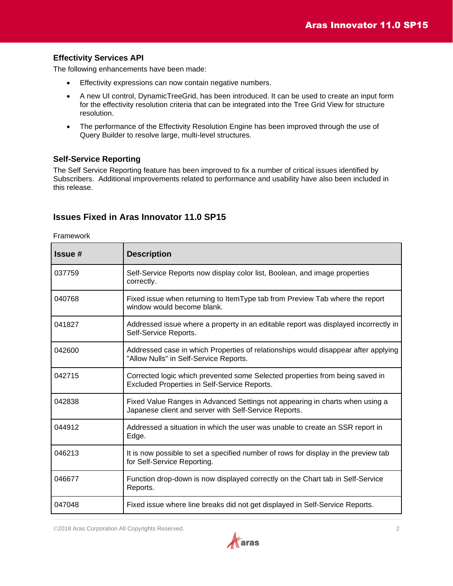### **Effectivity Services API**

The following enhancements have been made:

- Effectivity expressions can now contain negative numbers.
- A new UI control, DynamicTreeGrid, has been introduced. It can be used to create an input form for the effectivity resolution criteria that can be integrated into the Tree Grid View for structure resolution.
- The performance of the Effectivity Resolution Engine has been improved through the use of Query Builder to resolve large, multi-level structures.

#### **Self-Service Reporting**

The Self Service Reporting feature has been improved to fix a number of critical issues identified by Subscribers. Additional improvements related to performance and usability have also been included in this release.

# **Issues Fixed in Aras Innovator 11.0 SP15**

Framework

| Issue # | <b>Description</b>                                                                                                                    |
|---------|---------------------------------------------------------------------------------------------------------------------------------------|
| 037759  | Self-Service Reports now display color list, Boolean, and image properties<br>correctly.                                              |
| 040768  | Fixed issue when returning to ItemType tab from Preview Tab where the report<br>window would become blank.                            |
| 041827  | Addressed issue where a property in an editable report was displayed incorrectly in<br>Self-Service Reports.                          |
| 042600  | Addressed case in which Properties of relationships would disappear after applying<br>"Allow Nulls" in Self-Service Reports.          |
| 042715  | Corrected logic which prevented some Selected properties from being saved in<br>Excluded Properties in Self-Service Reports.          |
| 042838  | Fixed Value Ranges in Advanced Settings not appearing in charts when using a<br>Japanese client and server with Self-Service Reports. |
| 044912  | Addressed a situation in which the user was unable to create an SSR report in<br>Edge.                                                |
| 046213  | It is now possible to set a specified number of rows for display in the preview tab<br>for Self-Service Reporting.                    |
| 046677  | Function drop-down is now displayed correctly on the Chart tab in Self-Service<br>Reports.                                            |
| 047048  | Fixed issue where line breaks did not get displayed in Self-Service Reports.                                                          |

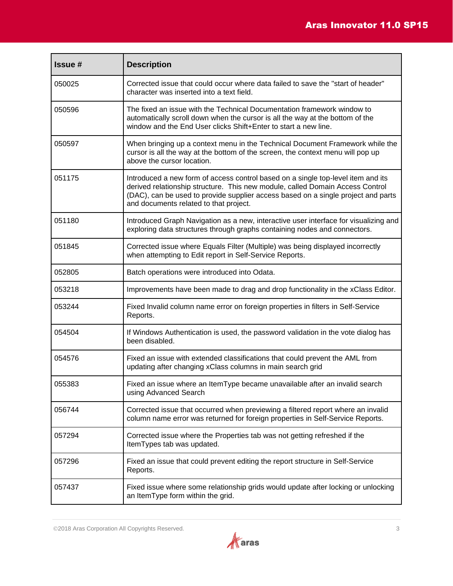| <b>Issue#</b> | <b>Description</b>                                                                                                                                                                                                                                                                               |
|---------------|--------------------------------------------------------------------------------------------------------------------------------------------------------------------------------------------------------------------------------------------------------------------------------------------------|
| 050025        | Corrected issue that could occur where data failed to save the "start of header"<br>character was inserted into a text field.                                                                                                                                                                    |
| 050596        | The fixed an issue with the Technical Documentation framework window to<br>automatically scroll down when the cursor is all the way at the bottom of the<br>window and the End User clicks Shift+Enter to start a new line.                                                                      |
| 050597        | When bringing up a context menu in the Technical Document Framework while the<br>cursor is all the way at the bottom of the screen, the context menu will pop up<br>above the cursor location.                                                                                                   |
| 051175        | Introduced a new form of access control based on a single top-level item and its<br>derived relationship structure. This new module, called Domain Access Control<br>(DAC), can be used to provide supplier access based on a single project and parts<br>and documents related to that project. |
| 051180        | Introduced Graph Navigation as a new, interactive user interface for visualizing and<br>exploring data structures through graphs containing nodes and connectors.                                                                                                                                |
| 051845        | Corrected issue where Equals Filter (Multiple) was being displayed incorrectly<br>when attempting to Edit report in Self-Service Reports.                                                                                                                                                        |
| 052805        | Batch operations were introduced into Odata.                                                                                                                                                                                                                                                     |
| 053218        | Improvements have been made to drag and drop functionality in the xClass Editor.                                                                                                                                                                                                                 |
| 053244        | Fixed Invalid column name error on foreign properties in filters in Self-Service<br>Reports.                                                                                                                                                                                                     |
| 054504        | If Windows Authentication is used, the password validation in the vote dialog has<br>been disabled.                                                                                                                                                                                              |
| 054576        | Fixed an issue with extended classifications that could prevent the AML from<br>updating after changing xClass columns in main search grid                                                                                                                                                       |
| 055383        | Fixed an issue where an ItemType became unavailable after an invalid search<br>using Advanced Search                                                                                                                                                                                             |
| 056744        | Corrected issue that occurred when previewing a filtered report where an invalid<br>column name error was returned for foreign properties in Self-Service Reports.                                                                                                                               |
| 057294        | Corrected issue where the Properties tab was not getting refreshed if the<br>ItemTypes tab was updated.                                                                                                                                                                                          |
| 057296        | Fixed an issue that could prevent editing the report structure in Self-Service<br>Reports.                                                                                                                                                                                                       |
| 057437        | Fixed issue where some relationship grids would update after locking or unlocking<br>an ItemType form within the grid.                                                                                                                                                                           |

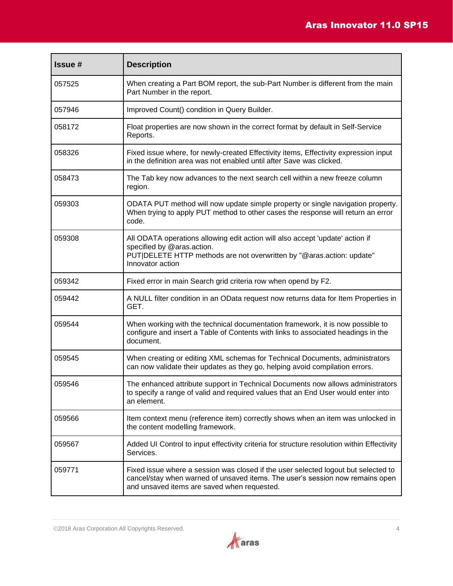| <b>Issue#</b> | <b>Description</b>                                                                                                                                                                                                 |
|---------------|--------------------------------------------------------------------------------------------------------------------------------------------------------------------------------------------------------------------|
| 057525        | When creating a Part BOM report, the sub-Part Number is different from the main<br>Part Number in the report.                                                                                                      |
| 057946        | Improved Count() condition in Query Builder.                                                                                                                                                                       |
| 058172        | Float properties are now shown in the correct format by default in Self-Service<br>Reports.                                                                                                                        |
| 058326        | Fixed issue where, for newly-created Effectivity items, Effectivity expression input<br>in the definition area was not enabled until after Save was clicked.                                                       |
| 058473        | The Tab key now advances to the next search cell within a new freeze column<br>region.                                                                                                                             |
| 059303        | ODATA PUT method will now update simple property or single navigation property.<br>When trying to apply PUT method to other cases the response will return an error<br>code.                                       |
| 059308        | All ODATA operations allowing edit action will also accept 'update' action if<br>specified by @aras.action.<br>PUT DELETE HTTP methods are not overwritten by "@aras.action: update"<br>Innovator action           |
| 059342        | Fixed error in main Search grid criteria row when opend by F2.                                                                                                                                                     |
| 059442        | A NULL filter condition in an OData request now returns data for Item Properties in<br>GET.                                                                                                                        |
| 059544        | When working with the technical documentation framework, it is now possible to<br>configure and insert a Table of Contents with links to associated headings in the<br>document.                                   |
| 059545        | When creating or editing XML schemas for Technical Documents, administrators<br>can now validate their updates as they go, helping avoid compilation errors.                                                       |
| 059546        | The enhanced attribute support in Technical Documents now allows administrators<br>to specify a range of valid and required values that an End User would enter into<br>an element.                                |
| 059566        | Item context menu (reference item) correctly shows when an item was unlocked in<br>the content modelling framework.                                                                                                |
| 059567        | Added UI Control to input effectivity criteria for structure resolution within Effectivity<br>Services.                                                                                                            |
| 059771        | Fixed issue where a session was closed if the user selected logout but selected to<br>cancel/stay when warned of unsaved items. The user's session now remains open<br>and unsaved items are saved when requested. |

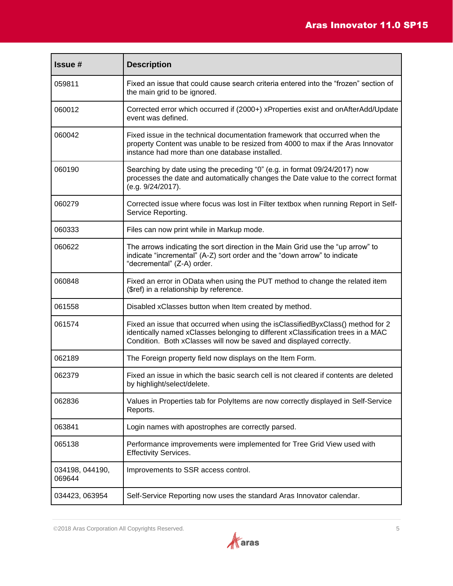| <b>Issue#</b>             | <b>Description</b>                                                                                                                                                                                                                         |
|---------------------------|--------------------------------------------------------------------------------------------------------------------------------------------------------------------------------------------------------------------------------------------|
| 059811                    | Fixed an issue that could cause search criteria entered into the "frozen" section of<br>the main grid to be ignored.                                                                                                                       |
| 060012                    | Corrected error which occurred if (2000+) xProperties exist and onAfterAdd/Update<br>event was defined.                                                                                                                                    |
| 060042                    | Fixed issue in the technical documentation framework that occurred when the<br>property Content was unable to be resized from 4000 to max if the Aras Innovator<br>instance had more than one database installed.                          |
| 060190                    | Searching by date using the preceding "0" (e.g. in format 09/24/2017) now<br>processes the date and automatically changes the Date value to the correct format<br>(e.g. 9/24/2017).                                                        |
| 060279                    | Corrected issue where focus was lost in Filter textbox when running Report in Self-<br>Service Reporting.                                                                                                                                  |
| 060333                    | Files can now print while in Markup mode.                                                                                                                                                                                                  |
| 060622                    | The arrows indicating the sort direction in the Main Grid use the "up arrow" to<br>indicate "incremental" (A-Z) sort order and the "down arrow" to indicate<br>"decremental" (Z-A) order.                                                  |
| 060848                    | Fixed an error in OData when using the PUT method to change the related item<br>(\$ref) in a relationship by reference.                                                                                                                    |
| 061558                    | Disabled xClasses button when Item created by method.                                                                                                                                                                                      |
| 061574                    | Fixed an issue that occurred when using the isClassifiedByxClass() method for 2<br>identically named xClasses belonging to different xClassification trees in a MAC<br>Condition. Both xClasses will now be saved and displayed correctly. |
| 062189                    | The Foreign property field now displays on the Item Form.                                                                                                                                                                                  |
| 062379                    | Fixed an issue in which the basic search cell is not cleared if contents are deleted<br>by highlight/select/delete.                                                                                                                        |
| 062836                    | Values in Properties tab for Polyltems are now correctly displayed in Self-Service<br>Reports.                                                                                                                                             |
| 063841                    | Login names with apostrophes are correctly parsed.                                                                                                                                                                                         |
| 065138                    | Performance improvements were implemented for Tree Grid View used with<br><b>Effectivity Services.</b>                                                                                                                                     |
| 034198, 044190,<br>069644 | Improvements to SSR access control.                                                                                                                                                                                                        |
| 034423, 063954            | Self-Service Reporting now uses the standard Aras Innovator calendar.                                                                                                                                                                      |

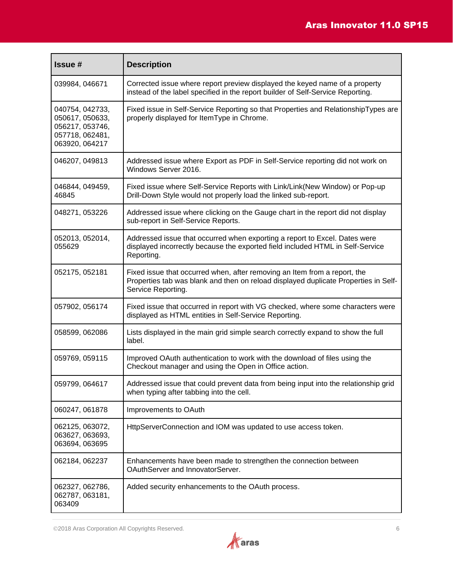| <b>Issue#</b>                                                                              | <b>Description</b>                                                                                                                                                                     |
|--------------------------------------------------------------------------------------------|----------------------------------------------------------------------------------------------------------------------------------------------------------------------------------------|
| 039984, 046671                                                                             | Corrected issue where report preview displayed the keyed name of a property<br>instead of the label specified in the report builder of Self-Service Reporting.                         |
| 040754, 042733,<br>050617, 050633,<br>056217, 053746,<br>057718, 062481,<br>063920, 064217 | Fixed issue in Self-Service Reporting so that Properties and RelationshipTypes are<br>properly displayed for ItemType in Chrome.                                                       |
| 046207, 049813                                                                             | Addressed issue where Export as PDF in Self-Service reporting did not work on<br>Windows Server 2016.                                                                                  |
| 046844, 049459,<br>46845                                                                   | Fixed issue where Self-Service Reports with Link/Link(New Window) or Pop-up<br>Drill-Down Style would not properly load the linked sub-report.                                         |
| 048271, 053226                                                                             | Addressed issue where clicking on the Gauge chart in the report did not display<br>sub-report in Self-Service Reports.                                                                 |
| 052013, 052014,<br>055629                                                                  | Addressed issue that occurred when exporting a report to Excel. Dates were<br>displayed incorrectly because the exported field included HTML in Self-Service<br>Reporting.             |
| 052175, 052181                                                                             | Fixed issue that occurred when, after removing an Item from a report, the<br>Properties tab was blank and then on reload displayed duplicate Properties in Self-<br>Service Reporting. |
| 057902, 056174                                                                             | Fixed issue that occurred in report with VG checked, where some characters were<br>displayed as HTML entities in Self-Service Reporting.                                               |
| 058599, 062086                                                                             | Lists displayed in the main grid simple search correctly expand to show the full<br>label.                                                                                             |
| 059769, 059115                                                                             | Improved OAuth authentication to work with the download of files using the<br>Checkout manager and using the Open in Office action.                                                    |
| 059799, 064617                                                                             | Addressed issue that could prevent data from being input into the relationship grid<br>when typing after tabbing into the cell.                                                        |
| 060247, 061878                                                                             | Improvements to OAuth                                                                                                                                                                  |
| 062125, 063072,<br>063627, 063693,<br>063694, 063695                                       | HttpServerConnection and IOM was updated to use access token.                                                                                                                          |
| 062184, 062237                                                                             | Enhancements have been made to strengthen the connection between<br>OAuthServer and InnovatorServer.                                                                                   |
| 062327, 062786,<br>062787, 063181,<br>063409                                               | Added security enhancements to the OAuth process.                                                                                                                                      |